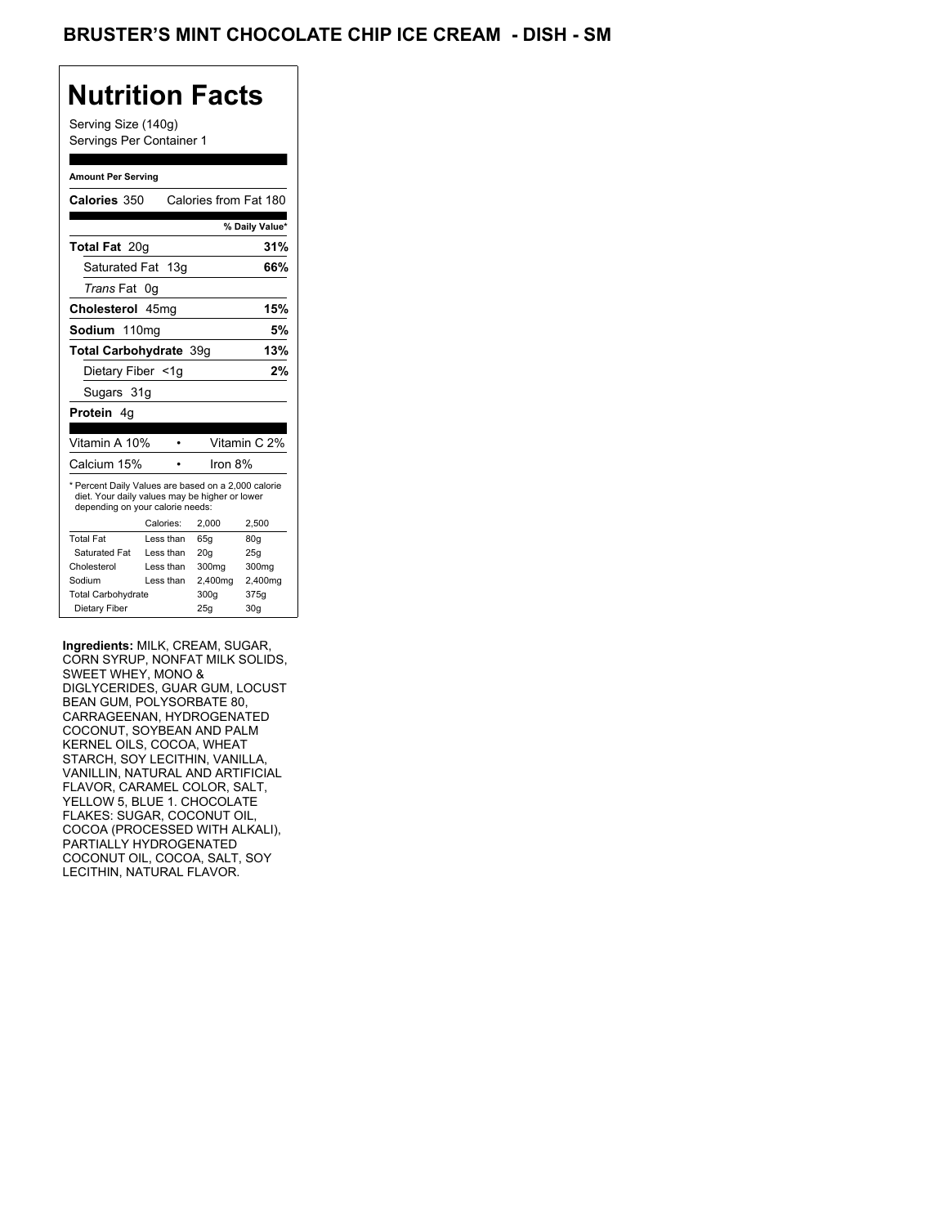## **Nutrition Facts**

Serving Size (140g) Servings Per Container 1

#### **Amount Per Serving**

| Calories 350                                                                                                                              |           | Calories from Fat 180 |                |
|-------------------------------------------------------------------------------------------------------------------------------------------|-----------|-----------------------|----------------|
|                                                                                                                                           |           |                       | % Daily Value* |
| <b>Total Fat 20g</b>                                                                                                                      |           |                       | 31%            |
| Saturated Fat 13g                                                                                                                         |           |                       | 66%            |
| <i>Trans</i> Fat                                                                                                                          | 0g        |                       |                |
| Cholesterol 45mg                                                                                                                          |           |                       | 15%            |
| Sodium 110mg                                                                                                                              |           |                       | 5%             |
| Total Carbohydrate 39q                                                                                                                    |           |                       | 13%            |
| Dietary Fiber <1g                                                                                                                         |           |                       | 2%             |
| Sugars 31g                                                                                                                                |           |                       |                |
| <b>Protein</b> 4q                                                                                                                         |           |                       |                |
|                                                                                                                                           |           |                       |                |
|                                                                                                                                           |           |                       |                |
| Vitamin A 10%                                                                                                                             |           |                       | Vitamin C 2%   |
| Calcium 15%                                                                                                                               |           | Iron 8%               |                |
| * Percent Daily Values are based on a 2,000 calorie<br>diet. Your daily values may be higher or lower<br>depending on your calorie needs: |           |                       |                |
|                                                                                                                                           | Calories: | 2.000                 | 2,500          |
| <b>Total Fat</b>                                                                                                                          | Less than | 65q                   | 80q            |
| Saturated Fat                                                                                                                             | Less than | 20q                   | 25g            |
| Cholesterol                                                                                                                               | Less than | 300mg                 | 300mg          |
| Sodium                                                                                                                                    | Less than | 2,400mg               | 2,400mg        |
| <b>Total Carbohydrate</b>                                                                                                                 |           | 300g                  | 375g           |

**Ingredients:** MILK, CREAM, SUGAR, CORN SYRUP, NONFAT MILK SOLIDS, SWEET WHEY, MONO & DIGLYCERIDES, GUAR GUM, LOCUST BEAN GUM, POLYSORBATE 80, CARRAGEENAN, HYDROGENATED COCONUT, SOYBEAN AND PALM KERNEL OILS, COCOA, WHEAT STARCH, SOY LECITHIN, VANILLA, VANILLIN, NATURAL AND ARTIFICIAL FLAVOR, CARAMEL COLOR, SALT, YELLOW 5, BLUE 1. CHOCOLATE FLAKES: SUGAR, COCONUT OIL, COCOA (PROCESSED WITH ALKALI), PARTIALLY HYDROGENATED COCONUT OIL, COCOA, SALT, SOY LECITHIN, NATURAL FLAVOR.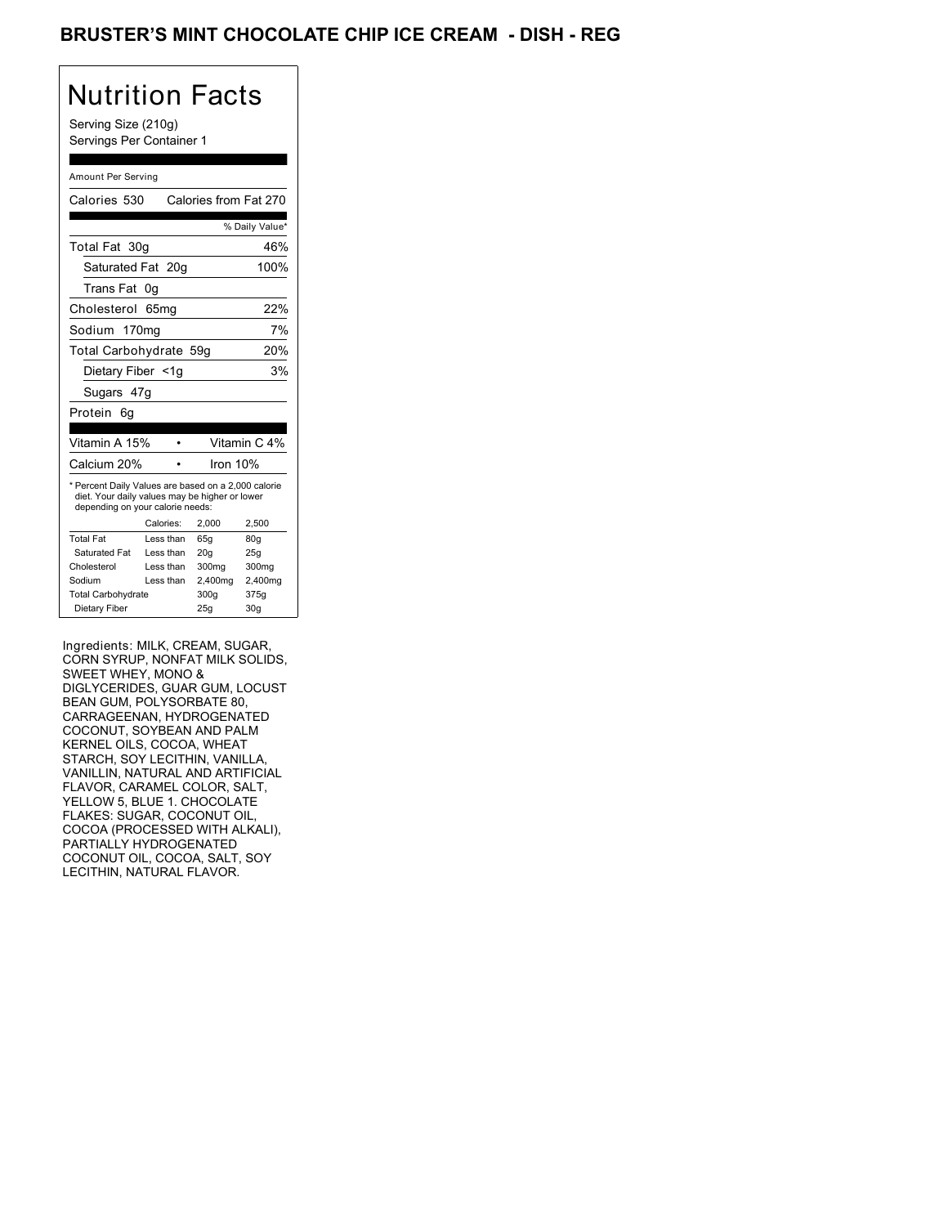## BRUSTER'S MINT CHOCOLATE CHIP ICE CREAM - DISH - REG

# Nutrition Facts

Serving Size (210g) Servings Per Container 1

#### Amount Per Serving

| Calories 530                                                                                                                              |                  | Calories from Fat 270 |                 |
|-------------------------------------------------------------------------------------------------------------------------------------------|------------------|-----------------------|-----------------|
|                                                                                                                                           |                  |                       | % Daily Value*  |
| Total Fat 30g                                                                                                                             |                  |                       | 46%             |
| Saturated Fat 20q                                                                                                                         |                  |                       | 100%            |
| Trans Fat                                                                                                                                 | 0g               |                       |                 |
| Cholesterol                                                                                                                               | 65 <sub>mg</sub> |                       | 22%             |
| Sodium 170mg                                                                                                                              |                  |                       | 7%              |
| Total Carbohydrate 59g                                                                                                                    |                  |                       | 20%             |
| Dietary Fiber <1g                                                                                                                         |                  |                       | 3%              |
| Sugars 47g                                                                                                                                |                  |                       |                 |
| Protein 6q                                                                                                                                |                  |                       |                 |
|                                                                                                                                           |                  |                       |                 |
| Vitamin A 15%                                                                                                                             |                  |                       | Vitamin C 4%    |
| Calcium 20%                                                                                                                               |                  | Iron 10%              |                 |
| * Percent Daily Values are based on a 2,000 calorie<br>diet. Your daily values may be higher or lower<br>depending on your calorie needs: |                  |                       |                 |
|                                                                                                                                           | Calories:        | 2.000                 | 2,500           |
| <b>Total Fat</b>                                                                                                                          | Less than        | 65q                   | 80 <sub>g</sub> |
|                                                                                                                                           |                  |                       |                 |
| Saturated Fat                                                                                                                             | Less than        | 20q                   | 25q             |
| Cholesterol                                                                                                                               | Less than        | 300mg                 | 300mg           |
| Sodium                                                                                                                                    | Less than        | 2,400mg               | 2,400mg         |
| <b>Total Carbohydrate</b>                                                                                                                 |                  | 300g                  | 375g            |

Ingredients: MILK, CREAM, SUGAR, CORN SYRUP, NONFAT MILK SOLIDS, SWEET WHEY, MONO & DIGLYCERIDES, GUAR GUM, LOCUST BEAN GUM, POLYSORBATE 80, CARRAGEENAN, HYDROGENATED COCONUT, SOYBEAN AND PALM KERNEL OILS, COCOA, WHEAT STARCH, SOY LECITHIN, VANILLA, VANILLIN, NATURAL AND ARTIFICIAL FLAVOR, CARAMEL COLOR, SALT, YELLOW 5, BLUE 1. CHOCOLATE FLAKES: SUGAR, COCONUT OIL, COCOA (PROCESSED WITH ALKALI), PARTIALLY HYDROGENATED COCONUT OIL, COCOA, SALT, SOY LECITHIN, NATURAL FLAVOR.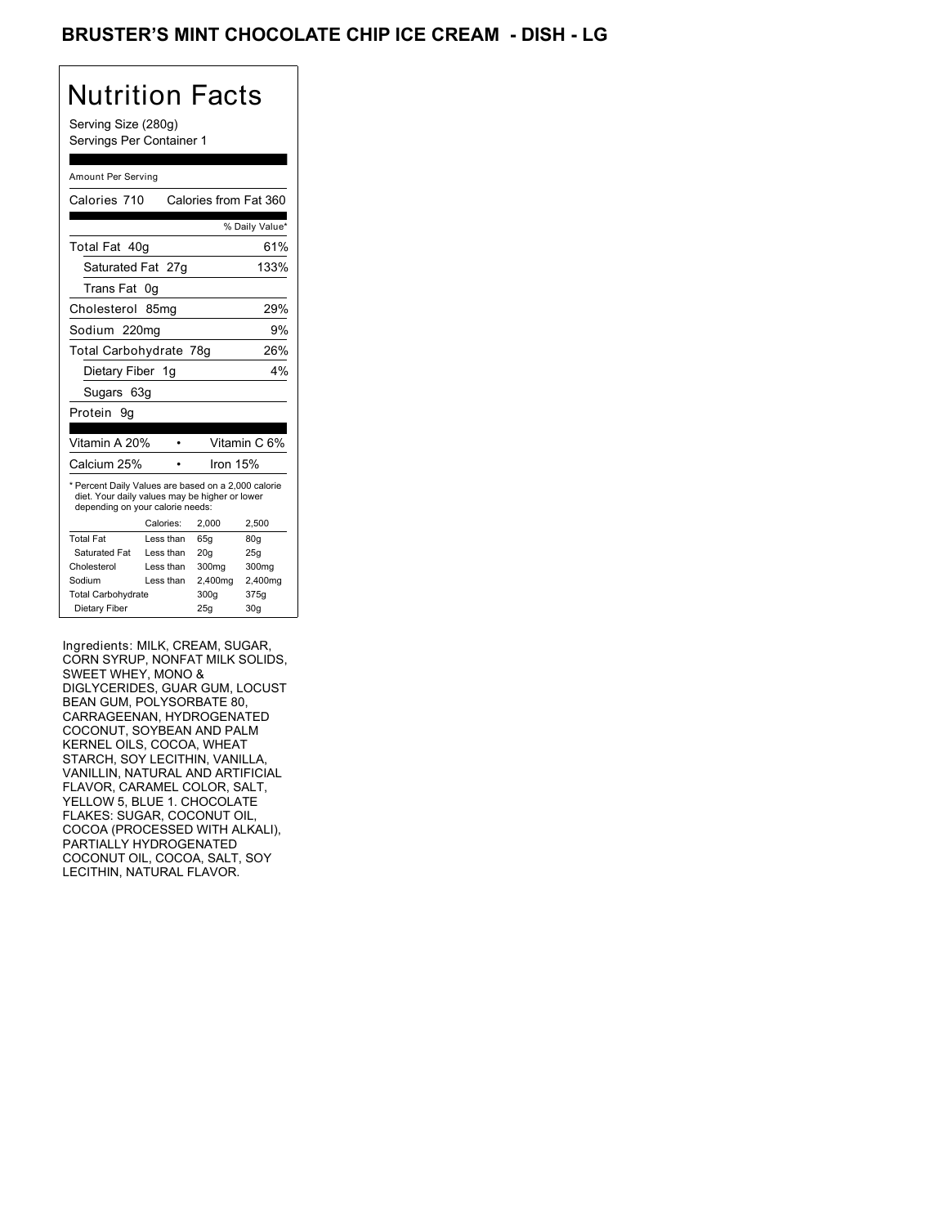## BRUSTER'S MINT CHOCOLATE CHIP ICE CREAM - DISH - LG

## Nutrition Facts

Serving Size (280g) Servings Per Container 1

#### Amount Per Serving

| Calories 710                                                                                                                              |                  | Calories from Fat 360 |                |
|-------------------------------------------------------------------------------------------------------------------------------------------|------------------|-----------------------|----------------|
|                                                                                                                                           |                  |                       | % Daily Value* |
| Total Fat 40q                                                                                                                             |                  |                       | 61%            |
| Saturated Fat 27g                                                                                                                         |                  |                       | 133%           |
| Trans Fat                                                                                                                                 | 0g               |                       |                |
| Cholesterol                                                                                                                               | 85 <sub>mq</sub> |                       | 29%            |
| Sodium 220mg                                                                                                                              |                  |                       | 9%             |
| Total Carbohydrate 78g                                                                                                                    |                  |                       | 26%            |
| Dietary Fiber 1g                                                                                                                          |                  |                       | 4%             |
| Sugars 63g                                                                                                                                |                  |                       |                |
| Protein<br>9α                                                                                                                             |                  |                       |                |
|                                                                                                                                           |                  |                       |                |
|                                                                                                                                           |                  |                       |                |
| Vitamin A 20%                                                                                                                             |                  |                       | Vitamin C 6%   |
| Calcium 25%                                                                                                                               |                  | Iron 15%              |                |
| * Percent Daily Values are based on a 2,000 calorie<br>diet. Your daily values may be higher or lower<br>depending on your calorie needs: |                  |                       |                |
|                                                                                                                                           | Calories:        | 2,000                 | 2.500          |
| <b>Total Fat</b>                                                                                                                          | Less than        | 65g                   | 80q            |
| Saturated Fat                                                                                                                             | Less than        | 20 <sub>q</sub>       | 25q            |
| Cholesterol                                                                                                                               | Less than        | 300 <sub>mg</sub>     | 300mg          |
| Sodium                                                                                                                                    | Less than        | 2,400mg               | 2,400mg        |
| <b>Total Carbohydrate</b>                                                                                                                 |                  | 300g                  | 375g           |

Ingredients: MILK, CREAM, SUGAR, CORN SYRUP, NONFAT MILK SOLIDS, SWEET WHEY, MONO & DIGLYCERIDES, GUAR GUM, LOCUST BEAN GUM, POLYSORBATE 80, CARRAGEENAN, HYDROGENATED COCONUT, SOYBEAN AND PALM KERNEL OILS, COCOA, WHEAT STARCH, SOY LECITHIN, VANILLA, VANILLIN, NATURAL AND ARTIFICIAL FLAVOR, CARAMEL COLOR, SALT, YELLOW 5, BLUE 1. CHOCOLATE FLAKES: SUGAR, COCONUT OIL, COCOA (PROCESSED WITH ALKALI), PARTIALLY HYDROGENATED COCONUT OIL, COCOA, SALT, SOY LECITHIN, NATURAL FLAVOR.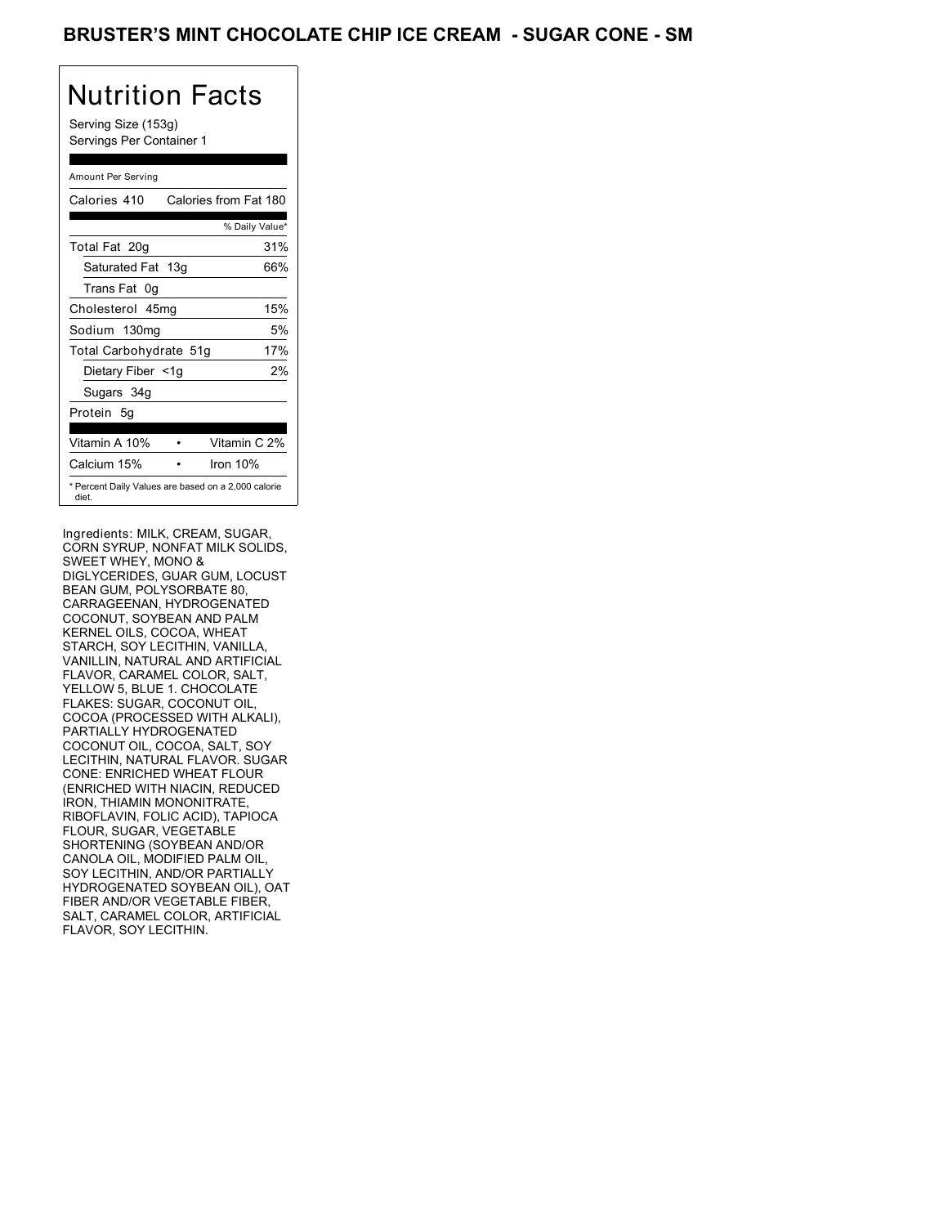### BRUSTER'S MINT CHOCOLATE CHIP ICE CREAM - SUGAR CONE - SM

## Nutrition Facts

Serving Size (153g) Servings Per Container 1

#### Amount Per Serving

| Calories 410           | Calories from Fat 180                               |
|------------------------|-----------------------------------------------------|
|                        | % Daily Value*                                      |
| Total Fat 20g          | 31%                                                 |
| Saturated Fat 13g      | 66%                                                 |
| Trans Fat 0q           |                                                     |
| Cholesterol 45mg       | 15%                                                 |
| Sodium 130mg           | 5%                                                  |
| Total Carbohydrate 51g | 17%                                                 |
| Dietary Fiber <1g      | 2%                                                  |
| Sugars 34g             |                                                     |
| Protein 5q             |                                                     |
| Vitamin A 10%          | Vitamin C 2%                                        |
| Calcium 15%            | Iron $10%$                                          |
| diet.                  | * Percent Daily Values are based on a 2,000 calorie |

Ingredients: MILK, CREAM, SUGAR, CORN SYRUP, NONFAT MILK SOLIDS, SWEET WHEY, MONO & DIGLYCERIDES, GUAR GUM, LOCUST BEAN GUM, POLYSORBATE 80, CARRAGEENAN, HYDROGENATED COCONUT, SOYBEAN AND PALM KERNEL OILS, COCOA, WHEAT STARCH, SOY LECITHIN, VANILLA, VANILLIN, NATURAL AND ARTIFICIAL FLAVOR, CARAMEL COLOR, SALT, YELLOW 5, BLUE 1. CHOCOLATE FLAKES: SUGAR, COCONUT OIL, COCOA (PROCESSED WITH ALKALI), PARTIALLY HYDROGENATED COCONUT OIL, COCOA, SALT, SOY LECITHIN, NATURAL FLAVOR. SUGAR CONE: ENRICHED WHEAT FLOUR (ENRICHED WITH NIACIN, REDUCED IRON, THIAMIN MONONITRATE, RIBOFLAVIN, FOLIC ACID), TAPIOCA FLOUR, SUGAR, VEGETABLE SHORTENING (SOYBEAN AND/OR CANOLA OIL, MODIFIED PALM OIL, SOY LECITHIN, AND/OR PARTIALLY HYDROGENATED SOYBEAN OIL), OAT FIBER AND/OR VEGETABLE FIBER, SALT, CARAMEL COLOR, ARTIFICIAL FLAVOR, SOY LECITHIN.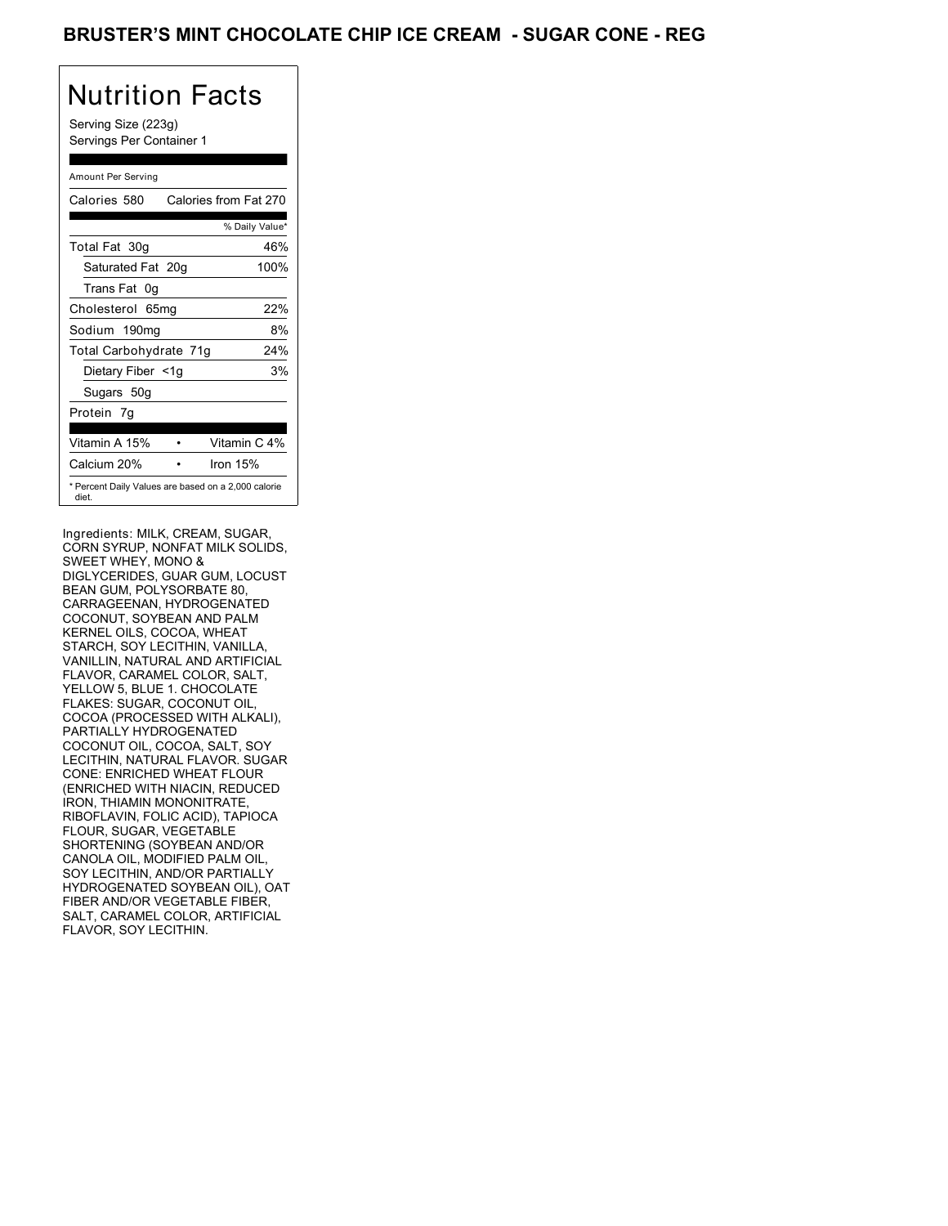## BRUSTER'S MINT CHOCOLATE CHIP ICE CREAM - SUGAR CONE - REG

# Nutrition Facts

Serving Size (223g) Servings Per Container 1

#### Amount Per Serving

| Calories 580           | Calories from Fat 270                               |
|------------------------|-----------------------------------------------------|
|                        | % Daily Value*                                      |
| Total Fat 30g          | 46%                                                 |
| Saturated Fat 20g      | 100%                                                |
| Trans Fat 0q           |                                                     |
| Cholesterol 65mg       | 22%                                                 |
| Sodium 190mg           | 8%                                                  |
| Total Carbohydrate 71g | 24%                                                 |
| Dietary Fiber <1g      | 3%                                                  |
| Sugars 50g             |                                                     |
| Protein 7q             |                                                     |
| Vitamin A 15%          | Vitamin C 4%                                        |
| Calcium 20%            | Iron 15%                                            |
| diet.                  | * Percent Daily Values are based on a 2,000 calorie |

Ingredients: MILK, CREAM, SUGAR, CORN SYRUP, NONFAT MILK SOLIDS, SWEET WHEY, MONO & DIGLYCERIDES, GUAR GUM, LOCUST BEAN GUM, POLYSORBATE 80, CARRAGEENAN, HYDROGENATED COCONUT, SOYBEAN AND PALM KERNEL OILS, COCOA, WHEAT STARCH, SOY LECITHIN, VANILLA, VANILLIN, NATURAL AND ARTIFICIAL FLAVOR, CARAMEL COLOR, SALT, YELLOW 5, BLUE 1. CHOCOLATE FLAKES: SUGAR, COCONUT OIL, COCOA (PROCESSED WITH ALKALI), PARTIALLY HYDROGENATED COCONUT OIL, COCOA, SALT, SOY LECITHIN, NATURAL FLAVOR. SUGAR CONE: ENRICHED WHEAT FLOUR (ENRICHED WITH NIACIN, REDUCED IRON, THIAMIN MONONITRATE, RIBOFLAVIN, FOLIC ACID), TAPIOCA FLOUR, SUGAR, VEGETABLE SHORTENING (SOYBEAN AND/OR CANOLA OIL, MODIFIED PALM OIL, SOY LECITHIN, AND/OR PARTIALLY HYDROGENATED SOYBEAN OIL), OAT FIBER AND/OR VEGETABLE FIBER, SALT, CARAMEL COLOR, ARTIFICIAL FLAVOR, SOY LECITHIN.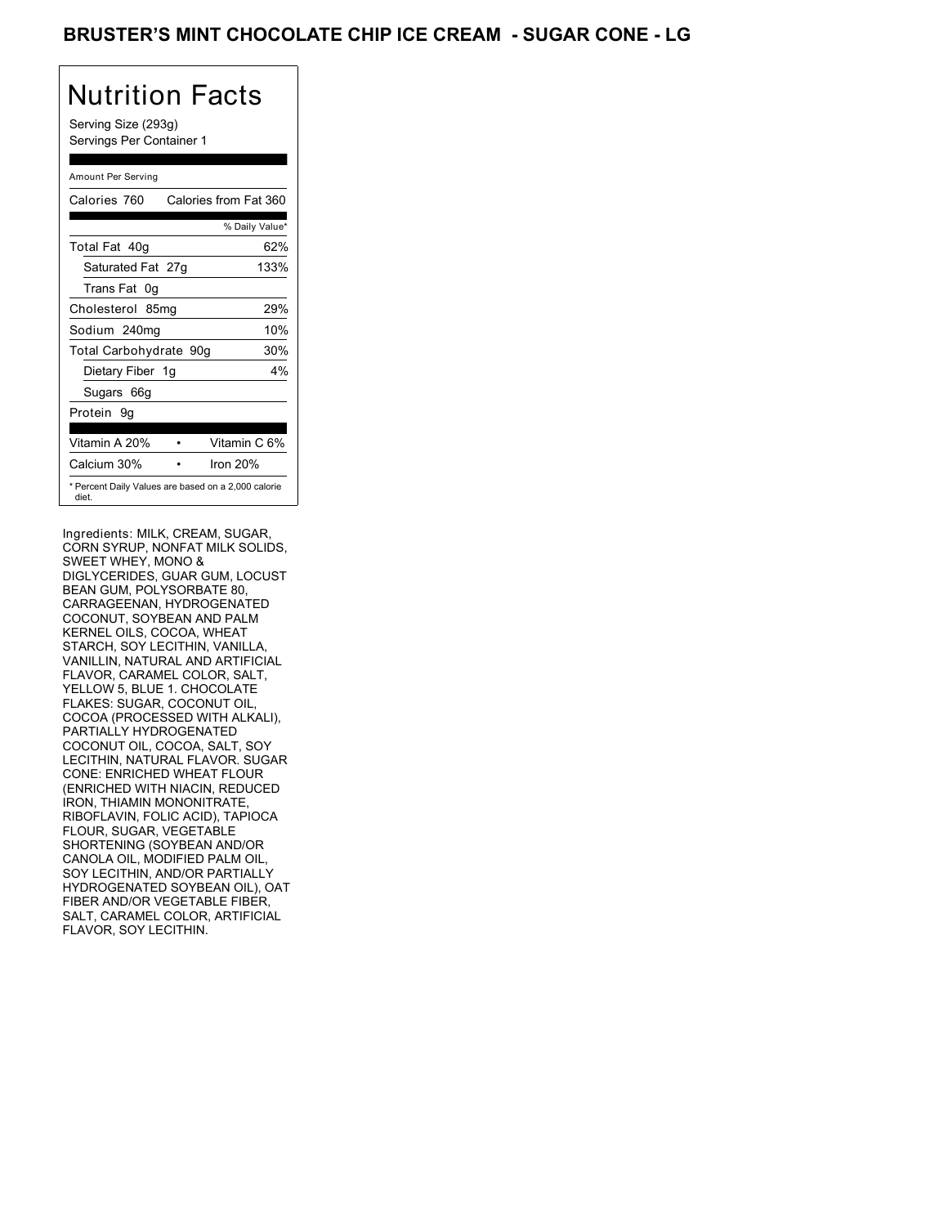## BRUSTER'S MINT CHOCOLATE CHIP ICE CREAM - SUGAR CONE - LG

## Nutrition Facts

Serving Size (293g) Servings Per Container 1

#### Amount Per Serving

| Calories 760           | Calories from Fat 360                               |
|------------------------|-----------------------------------------------------|
|                        | % Daily Value*                                      |
| Total Fat 40g          | 62%                                                 |
| Saturated Fat 27g      | 133%                                                |
| Trans Fat 0q           |                                                     |
| Cholesterol 85mg       | 29%                                                 |
| Sodium 240mg           | 10%                                                 |
| Total Carbohydrate 90g | 30%                                                 |
| Dietary Fiber 1g       | 4%                                                  |
| Sugars 66g             |                                                     |
| Protein 9q             |                                                     |
| Vitamin A 20%          | Vitamin C 6%                                        |
| Calcium 30%            | Iron $20%$                                          |
| diet.                  | * Percent Daily Values are based on a 2,000 calorie |

Ingredients: MILK, CREAM, SUGAR, CORN SYRUP, NONFAT MILK SOLIDS, SWEET WHEY, MONO & DIGLYCERIDES, GUAR GUM, LOCUST BEAN GUM, POLYSORBATE 80, CARRAGEENAN, HYDROGENATED COCONUT, SOYBEAN AND PALM KERNEL OILS, COCOA, WHEAT STARCH, SOY LECITHIN, VANILLA, VANILLIN, NATURAL AND ARTIFICIAL FLAVOR, CARAMEL COLOR, SALT, YELLOW 5, BLUE 1. CHOCOLATE FLAKES: SUGAR, COCONUT OIL, COCOA (PROCESSED WITH ALKALI), PARTIALLY HYDROGENATED COCONUT OIL, COCOA, SALT, SOY LECITHIN, NATURAL FLAVOR. SUGAR CONE: ENRICHED WHEAT FLOUR (ENRICHED WITH NIACIN, REDUCED IRON, THIAMIN MONONITRATE, RIBOFLAVIN, FOLIC ACID), TAPIOCA FLOUR, SUGAR, VEGETABLE SHORTENING (SOYBEAN AND/OR CANOLA OIL, MODIFIED PALM OIL, SOY LECITHIN, AND/OR PARTIALLY HYDROGENATED SOYBEAN OIL), OAT FIBER AND/OR VEGETABLE FIBER, SALT, CARAMEL COLOR, ARTIFICIAL FLAVOR, SOY LECITHIN.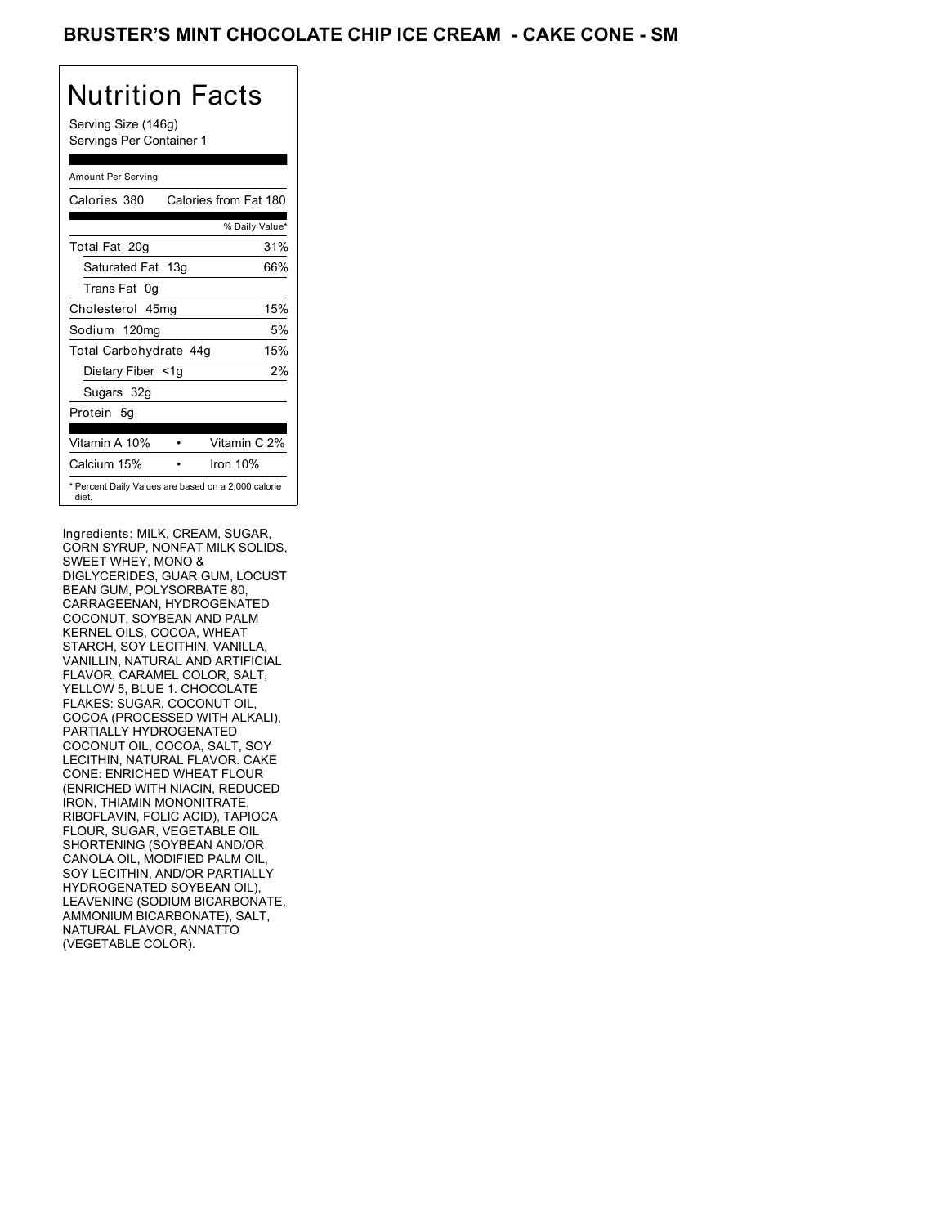## BRUSTER'S MINT CHOCOLATE CHIP ICE CREAM - CAKE CONE - SM

## Nutrition Facts

Serving Size (146g) Servings Per Container 1

#### Amount Per Serving

| Calories 380                                                 | Calories from Fat 180 |
|--------------------------------------------------------------|-----------------------|
|                                                              | % Daily Value*        |
| Total Fat 20g                                                | 31%                   |
| Saturated Fat 13g                                            | 66%                   |
| Trans Fat 0q                                                 |                       |
| Cholesterol 45mg                                             | 15%                   |
| Sodium 120mg                                                 | 5%                    |
| Total Carbohydrate 44g                                       | 15%                   |
| Dietary Fiber <1g                                            | 2%                    |
| Sugars 32g                                                   |                       |
| Protein 5q                                                   |                       |
| Vitamin A 10%                                                | Vitamin C 2%          |
| Calcium 15%                                                  | Iron $10%$            |
| * Percent Daily Values are based on a 2,000 calorie<br>diet. |                       |

Ingredients: MILK, CREAM, SUGAR, CORN SYRUP, NONFAT MILK SOLIDS, SWEET WHEY, MONO & DIGLYCERIDES, GUAR GUM, LOCUST BEAN GUM, POLYSORBATE 80, CARRAGEENAN, HYDROGENATED COCONUT, SOYBEAN AND PALM KERNEL OILS, COCOA, WHEAT STARCH, SOY LECITHIN, VANILLA, VANILLIN, NATURAL AND ARTIFICIAL FLAVOR, CARAMEL COLOR, SALT, YELLOW 5, BLUE 1. CHOCOLATE FLAKES: SUGAR, COCONUT OIL, COCOA (PROCESSED WITH ALKALI), PARTIALLY HYDROGENATED COCONUT OIL, COCOA, SALT, SOY LECITHIN, NATURAL FLAVOR. CAKE CONE: ENRICHED WHEAT FLOUR (ENRICHED WITH NIACIN, REDUCED IRON, THIAMIN MONONITRATE, RIBOFLAVIN, FOLIC ACID), TAPIOCA FLOUR, SUGAR, VEGETABLE OIL SHORTENING (SOYBEAN AND/OR CANOLA OIL, MODIFIED PALM OIL, SOY LECITHIN, AND/OR PARTIALLY HYDROGENATED SOYBEAN OIL), LEAVENING (SODIUM BICARBONATE, AMMONIUM BICARBONATE), SALT, NATURAL FLAVOR, ANNATTO (VEGETABLE COLOR).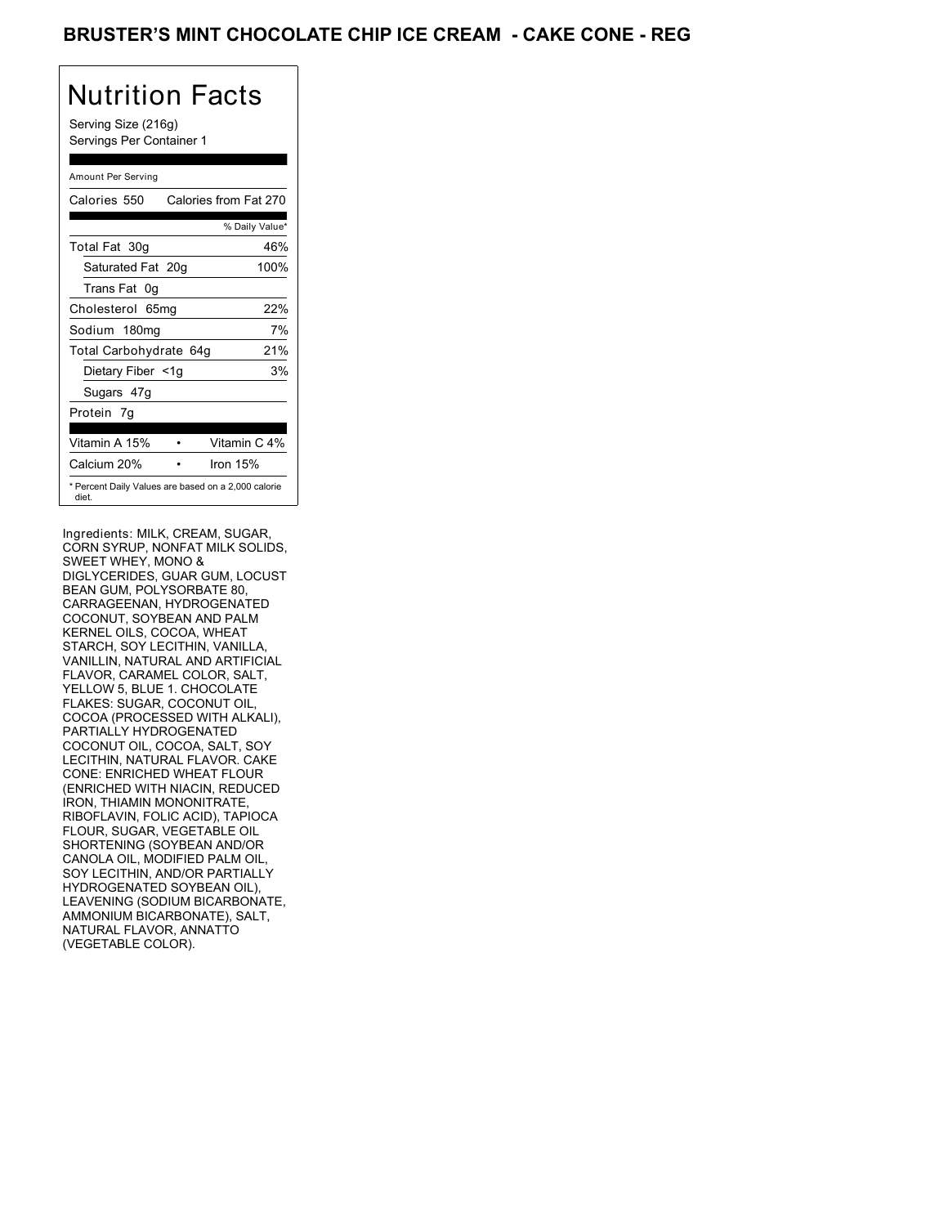## BRUSTER'S MINT CHOCOLATE CHIP ICE CREAM **- CAKE CONE - REG**

# Nutrition Facts

Serving Size (216g) Servings Per Container 1

#### Amount Per Serving

| Calories 550                                                 | Calories from Fat 270 |
|--------------------------------------------------------------|-----------------------|
|                                                              | % Daily Value*        |
| Total Fat 30g                                                | 46%                   |
| Saturated Fat 20g                                            | 100%                  |
| Trans Fat 0q                                                 |                       |
| Cholesterol 65mg                                             | 22%                   |
| Sodium 180mg                                                 | 7%                    |
| Total Carbohydrate 64g                                       | 21%                   |
| Dietary Fiber <1g                                            | 3%                    |
| Sugars 47g                                                   |                       |
| Protein 7q                                                   |                       |
| Vitamin A 15%                                                | Vitamin C 4%          |
| Calcium 20%                                                  | Iron 15%              |
| * Percent Daily Values are based on a 2,000 calorie<br>diet. |                       |

Ingredients: MILK, CREAM, SUGAR, CORN SYRUP, NONFAT MILK SOLIDS, SWEET WHEY, MONO & DIGLYCERIDES, GUAR GUM, LOCUST BEAN GUM, POLYSORBATE 80, CARRAGEENAN, HYDROGENATED COCONUT, SOYBEAN AND PALM KERNEL OILS, COCOA, WHEAT STARCH, SOY LECITHIN, VANILLA, VANILLIN, NATURAL AND ARTIFICIAL FLAVOR, CARAMEL COLOR, SALT, YELLOW 5, BLUE 1. CHOCOLATE FLAKES: SUGAR, COCONUT OIL, COCOA (PROCESSED WITH ALKALI), PARTIALLY HYDROGENATED COCONUT OIL, COCOA, SALT, SOY LECITHIN, NATURAL FLAVOR. CAKE CONE: ENRICHED WHEAT FLOUR (ENRICHED WITH NIACIN, REDUCED IRON, THIAMIN MONONITRATE, RIBOFLAVIN, FOLIC ACID), TAPIOCA FLOUR, SUGAR, VEGETABLE OIL SHORTENING (SOYBEAN AND/OR CANOLA OIL, MODIFIED PALM OIL, SOY LECITHIN, AND/OR PARTIALLY HYDROGENATED SOYBEAN OIL), LEAVENING (SODIUM BICARBONATE, AMMONIUM BICARBONATE), SALT, NATURAL FLAVOR, ANNATTO (VEGETABLE COLOR).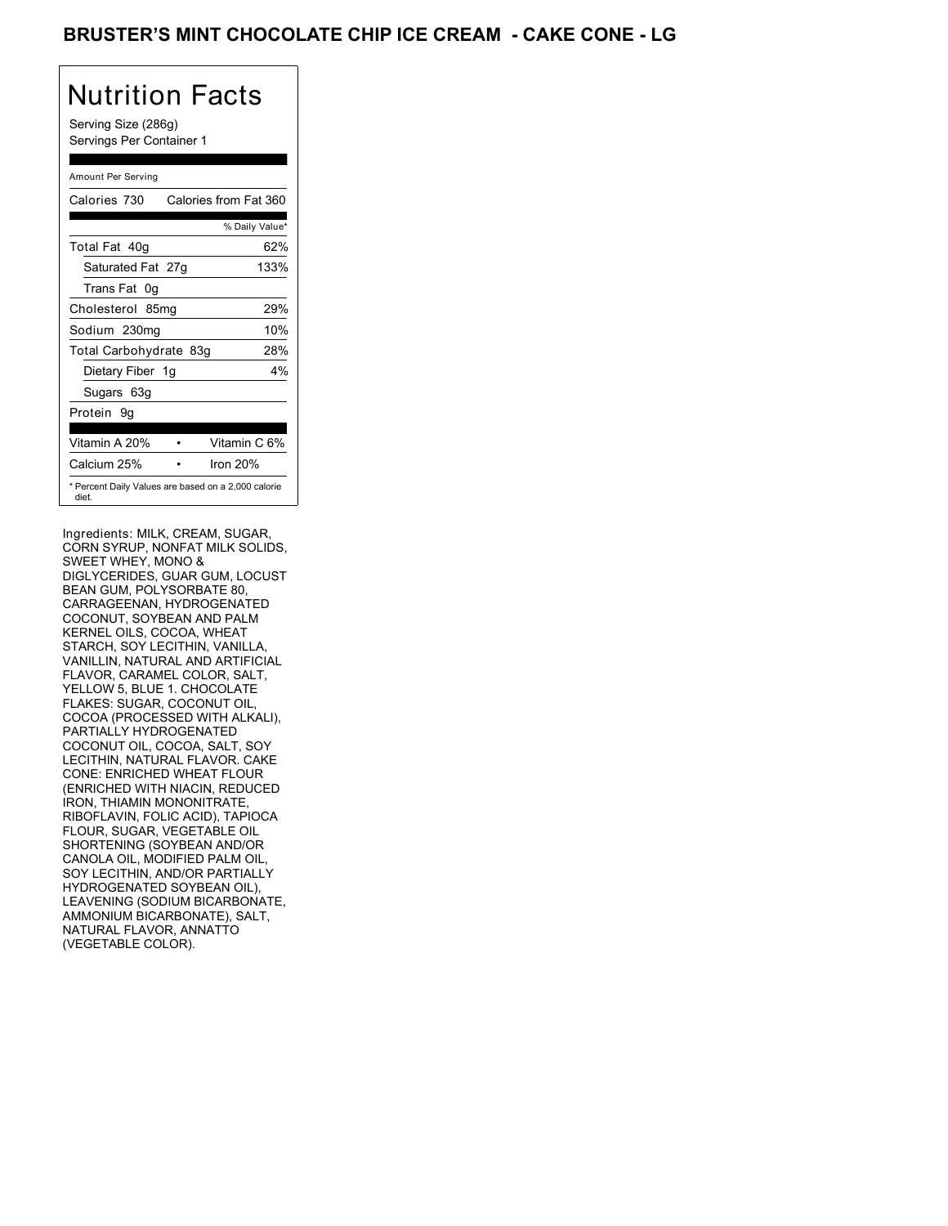## BRUSTER'S MINT CHOCOLATE CHIP ICE CREAM **- CAKE CONE - LG**

# Nutrition Facts

Serving Size (286g) Servings Per Container 1

#### Amount Per Serving

| Calories 730                                                 | Calories from Fat 360 |
|--------------------------------------------------------------|-----------------------|
|                                                              | % Daily Value*        |
| Total Fat 40g                                                | 62%                   |
| Saturated Fat 27g                                            | 133%                  |
| Trans Fat 0q                                                 |                       |
| Cholesterol 85mg                                             | 29%                   |
| Sodium 230mg                                                 | 10%                   |
| Total Carbohydrate 83g                                       | 28%                   |
| Dietary Fiber 1g                                             | 4%                    |
| Sugars 63g                                                   |                       |
| Protein 9q                                                   |                       |
|                                                              |                       |
| Vitamin A 20%                                                | Vitamin C 6%          |
| Calcium 25%                                                  | Iron $20%$            |
| * Percent Daily Values are based on a 2,000 calorie<br>diet. |                       |

Ingredients: MILK, CREAM, SUGAR, CORN SYRUP, NONFAT MILK SOLIDS, SWEET WHEY, MONO & DIGLYCERIDES, GUAR GUM, LOCUST BEAN GUM, POLYSORBATE 80, CARRAGEENAN, HYDROGENATED COCONUT, SOYBEAN AND PALM KERNEL OILS, COCOA, WHEAT STARCH, SOY LECITHIN, VANILLA, VANILLIN, NATURAL AND ARTIFICIAL FLAVOR, CARAMEL COLOR, SALT, YELLOW 5, BLUE 1. CHOCOLATE FLAKES: SUGAR, COCONUT OIL, COCOA (PROCESSED WITH ALKALI), PARTIALLY HYDROGENATED COCONUT OIL, COCOA, SALT, SOY LECITHIN, NATURAL FLAVOR. CAKE CONE: ENRICHED WHEAT FLOUR (ENRICHED WITH NIACIN, REDUCED IRON, THIAMIN MONONITRATE, RIBOFLAVIN, FOLIC ACID), TAPIOCA FLOUR, SUGAR, VEGETABLE OIL SHORTENING (SOYBEAN AND/OR CANOLA OIL, MODIFIED PALM OIL, SOY LECITHIN, AND/OR PARTIALLY HYDROGENATED SOYBEAN OIL), LEAVENING (SODIUM BICARBONATE, AMMONIUM BICARBONATE), SALT, NATURAL FLAVOR, ANNATTO (VEGETABLE COLOR).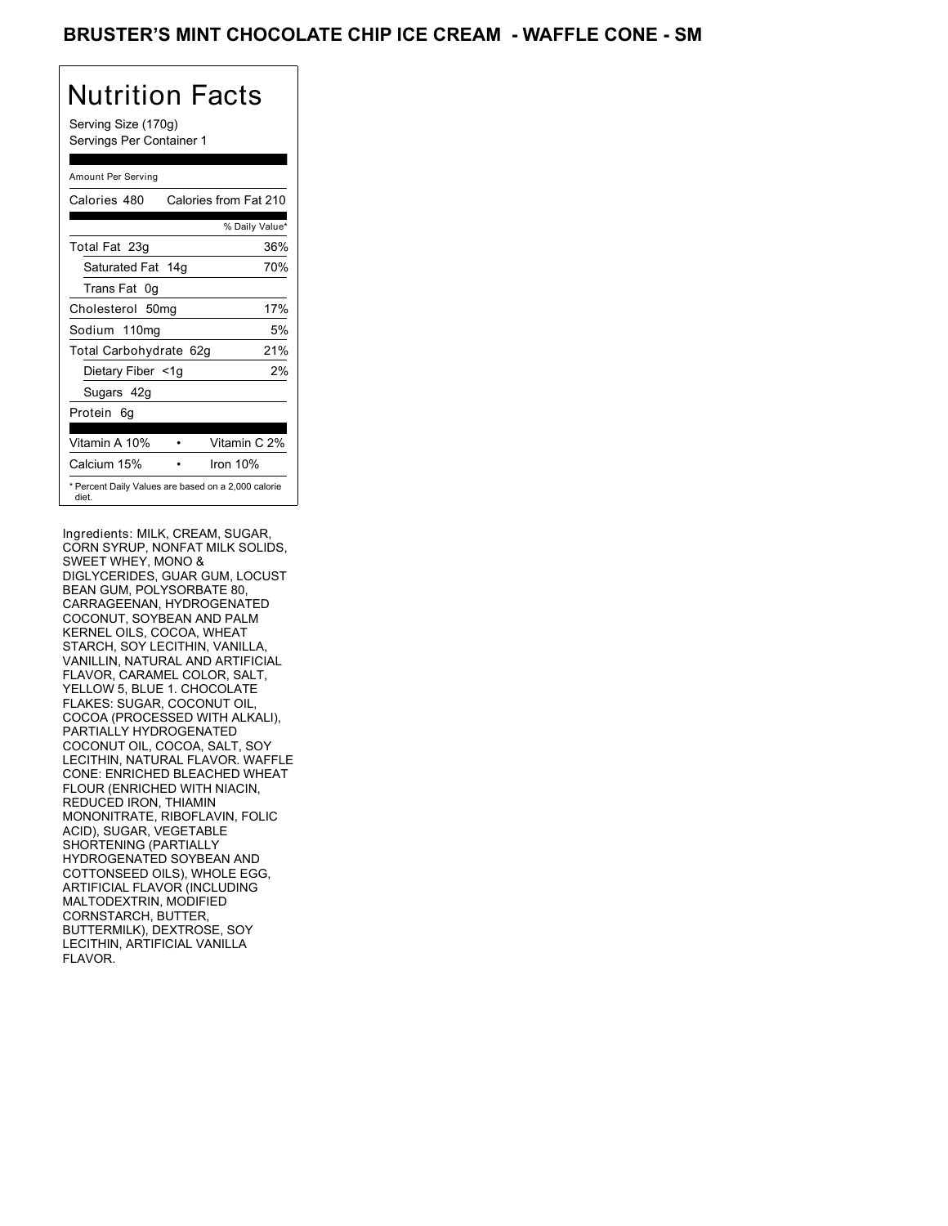### BRUSTER'S MINT CHOCOLATE CHIP ICE CREAM - WAFFLE CONE - SM

## Nutrition Facts

Serving Size (170g) Servings Per Container 1

#### Amount Per Serving

| Calories 480           | Calories from Fat 210                               |
|------------------------|-----------------------------------------------------|
|                        | % Daily Value*                                      |
| Total Fat 23g          | 36%                                                 |
| Saturated Fat 14g      | 70%                                                 |
| Trans Fat 0q           |                                                     |
| Cholesterol 50mg       | 17%                                                 |
| Sodium 110mg           | 5%                                                  |
| Total Carbohydrate 62g | 21%                                                 |
| Dietary Fiber <1g      | 2%                                                  |
| Sugars 42g             |                                                     |
| Protein 6q             |                                                     |
| Vitamin A 10%          | Vitamin C 2%                                        |
| Calcium 15%            | Iron 10%                                            |
| diet.                  | * Percent Daily Values are based on a 2,000 calorie |

Ingredients: MILK, CREAM, SUGAR, CORN SYRUP, NONFAT MILK SOLIDS, SWEET WHEY, MONO & DIGLYCERIDES, GUAR GUM, LOCUST BEAN GUM, POLYSORBATE 80, CARRAGEENAN, HYDROGENATED COCONUT, SOYBEAN AND PALM KERNEL OILS, COCOA, WHEAT STARCH, SOY LECITHIN, VANILLA, VANILLIN, NATURAL AND ARTIFICIAL FLAVOR, CARAMEL COLOR, SALT, YELLOW 5, BLUE 1. CHOCOLATE FLAKES: SUGAR, COCONUT OIL, COCOA (PROCESSED WITH ALKALI), PARTIALLY HYDROGENATED COCONUT OIL, COCOA, SALT, SOY LECITHIN, NATURAL FLAVOR. WAFFLE CONE: ENRICHED BLEACHED WHEAT FLOUR (ENRICHED WITH NIACIN, REDUCED IRON, THIAMIN MONONITRATE, RIBOFLAVIN, FOLIC ACID), SUGAR, VEGETABLE SHORTENING (PARTIALLY HYDROGENATED SOYBEAN AND COTTONSEED OILS), WHOLE EGG, ARTIFICIAL FLAVOR (INCLUDING MALTODEXTRIN, MODIFIED CORNSTARCH, BUTTER, BUTTERMILK), DEXTROSE, SOY LECITHIN, ARTIFICIAL VANILLA FLAVOR.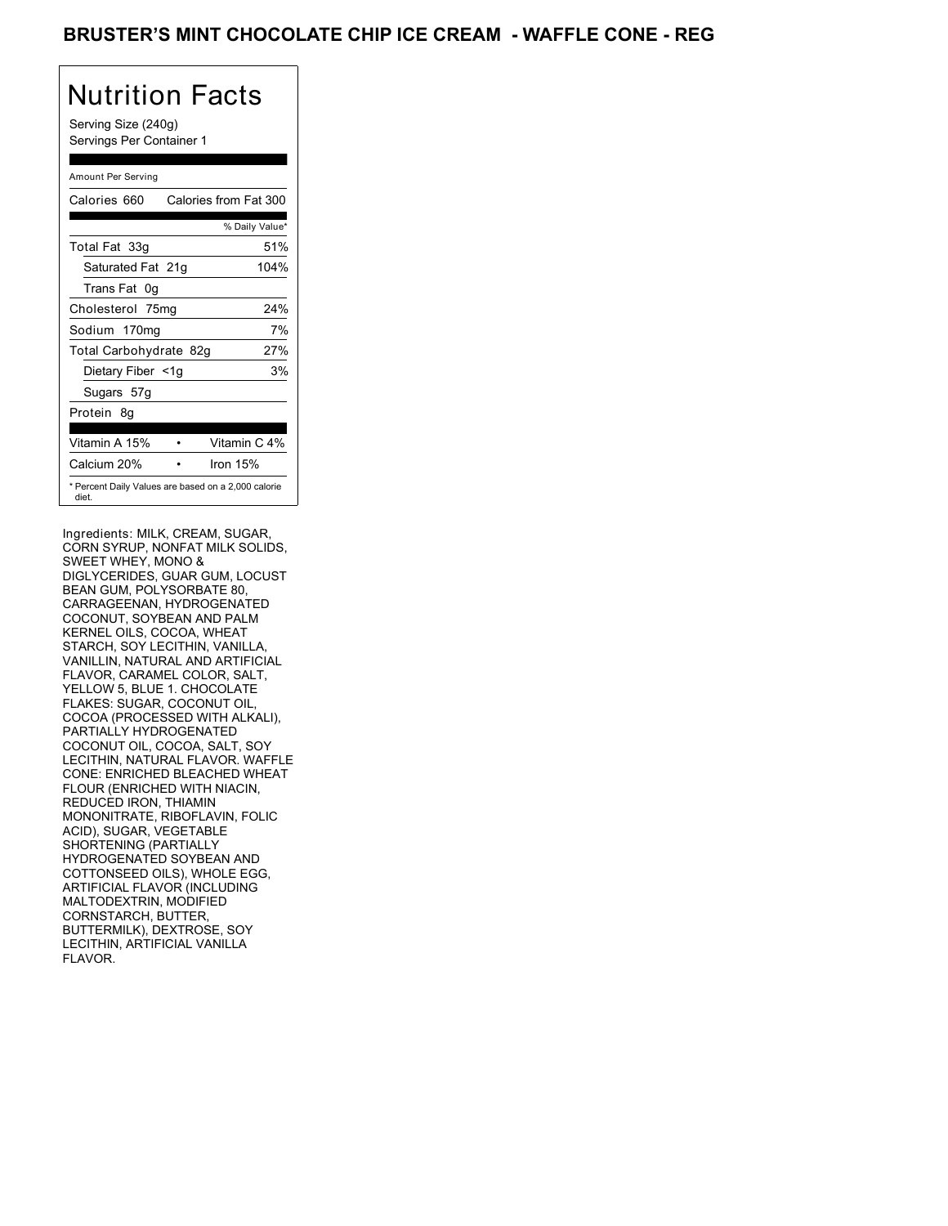### BRUSTER'S MINT CHOCOLATE CHIP ICE CREAM - WAFFLE CONE - REG

## Nutrition Facts

Serving Size (240g) Servings Per Container 1

#### Amount Per Serving

| Calories 660           | Calories from Fat 300                               |
|------------------------|-----------------------------------------------------|
|                        | % Daily Value*                                      |
| Total Fat 33g          | 51%                                                 |
| Saturated Fat 21g      | 104%                                                |
| Trans Fat 0q           |                                                     |
| Cholesterol 75mg       | 24%                                                 |
| Sodium 170mg           | 7%                                                  |
| Total Carbohydrate 82g | 27%                                                 |
| Dietary Fiber <1g      | 3%                                                  |
| Sugars 57g             |                                                     |
| Protein 8q             |                                                     |
| Vitamin A 15%          | Vitamin C 4%                                        |
| Calcium 20%            | Iron $15%$                                          |
| diet.                  | * Percent Daily Values are based on a 2,000 calorie |

Ingredients: MILK, CREAM, SUGAR, CORN SYRUP, NONFAT MILK SOLIDS, SWEET WHEY, MONO & DIGLYCERIDES, GUAR GUM, LOCUST BEAN GUM, POLYSORBATE 80, CARRAGEENAN, HYDROGENATED COCONUT, SOYBEAN AND PALM KERNEL OILS, COCOA, WHEAT STARCH, SOY LECITHIN, VANILLA, VANILLIN, NATURAL AND ARTIFICIAL FLAVOR, CARAMEL COLOR, SALT, YELLOW 5, BLUE 1. CHOCOLATE FLAKES: SUGAR, COCONUT OIL, COCOA (PROCESSED WITH ALKALI), PARTIALLY HYDROGENATED COCONUT OIL, COCOA, SALT, SOY LECITHIN, NATURAL FLAVOR. WAFFLE CONE: ENRICHED BLEACHED WHEAT FLOUR (ENRICHED WITH NIACIN, REDUCED IRON, THIAMIN MONONITRATE, RIBOFLAVIN, FOLIC ACID), SUGAR, VEGETABLE SHORTENING (PARTIALLY HYDROGENATED SOYBEAN AND COTTONSEED OILS), WHOLE EGG, ARTIFICIAL FLAVOR (INCLUDING MALTODEXTRIN, MODIFIED CORNSTARCH, BUTTER, BUTTERMILK), DEXTROSE, SOY LECITHIN, ARTIFICIAL VANILLA FLAVOR.